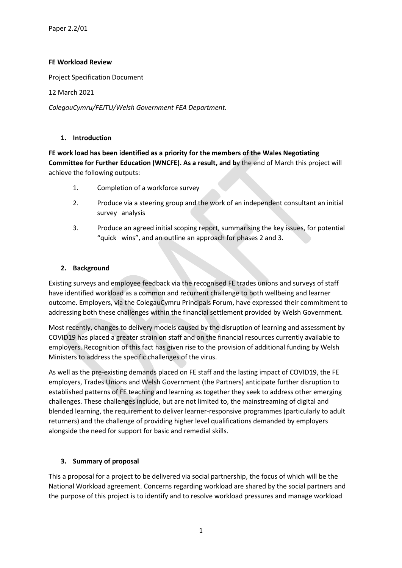### **FE Workload Review**

Project Specification Document

12 March 2021

*ColegauCymru/FEJTU/Welsh Government FEA Department.*

#### **1. Introduction**

**FE work load has been identified as a priority for the members of the Wales Negotiating Committee for Further Education (WNCFE). As a result, and b**y the end of March this project will achieve the following outputs:

- 1. Completion of a workforce survey
- 2. Produce via a steering group and the work of an independent consultant an initial survey analysis
- 3. Produce an agreed initial scoping report, summarising the key issues, for potential "quick wins", and an outline an approach for phases 2 and 3.

### **2. Background**

Existing surveys and employee feedback via the recognised FE trades unions and surveys of staff have identified workload as a common and recurrent challenge to both wellbeing and learner outcome. Employers, via the ColegauCymru Principals Forum, have expressed their commitment to addressing both these challenges within the financial settlement provided by Welsh Government.

Most recently, changes to delivery models caused by the disruption of learning and assessment by COVID19 has placed a greater strain on staff and on the financial resources currently available to employers. Recognition of this fact has given rise to the provision of additional funding by Welsh Ministers to address the specific challenges of the virus.

As well as the pre-existing demands placed on FE staff and the lasting impact of COVID19, the FE employers, Trades Unions and Welsh Government (the Partners) anticipate further disruption to established patterns of FE teaching and learning as together they seek to address other emerging challenges. These challenges include, but are not limited to, the mainstreaming of digital and blended learning, the requirement to deliver learner-responsive programmes (particularly to adult returners) and the challenge of providing higher level qualifications demanded by employers alongside the need for support for basic and remedial skills.

### **3. Summary of proposal**

This a proposal for a project to be delivered via social partnership, the focus of which will be the National Workload agreement. Concerns regarding workload are shared by the social partners and the purpose of this project is to identify and to resolve workload pressures and manage workload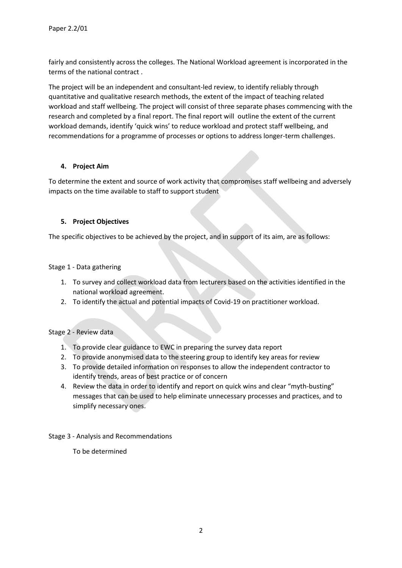fairly and consistently across the colleges. The National Workload agreement is incorporated in the terms of the national contract .

The project will be an independent and consultant-led review, to identify reliably through quantitative and qualitative research methods, the extent of the impact of teaching related workload and staff wellbeing. The project will consist of three separate phases commencing with the research and completed by a final report. The final report will outline the extent of the current workload demands, identify 'quick wins' to reduce workload and protect staff wellbeing, and recommendations for a programme of processes or options to address longer-term challenges.

### **4. Project Aim**

To determine the extent and source of work activity that compromises staff wellbeing and adversely impacts on the time available to staff to support student

# **5. Project Objectives**

The specific objectives to be achieved by the project, and in support of its aim, are as follows:

### Stage 1 - Data gathering

- 1. To survey and collect workload data from lecturers based on the activities identified in the national workload agreement.
- 2. To identify the actual and potential impacts of Covid-19 on practitioner workload.

### Stage 2 - Review data

- 1. To provide clear guidance to EWC in preparing the survey data report
- 2. To provide anonymised data to the steering group to identify key areas for review
- 3. To provide detailed information on responses to allow the independent contractor to identify trends, areas of best practice or of concern
- 4. Review the data in order to identify and report on quick wins and clear "myth-busting" messages that can be used to help eliminate unnecessary processes and practices, and to simplify necessary ones.
- Stage 3 Analysis and Recommendations
	- To be determined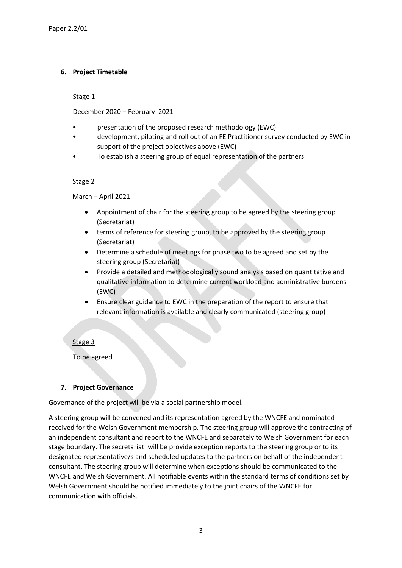## **6. Project Timetable**

Stage 1

December 2020 – February 2021

- presentation of the proposed research methodology (EWC)
- development, piloting and roll out of an FE Practitioner survey conducted by EWC in support of the project objectives above (EWC)
- To establish a steering group of equal representation of the partners

#### Stage 2

March – April 2021

- Appointment of chair for the steering group to be agreed by the steering group (Secretariat)
- terms of reference for steering group, to be approved by the steering group (Secretariat)
- Determine a schedule of meetings for phase two to be agreed and set by the steering group (Secretariat)
- Provide a detailed and methodologically sound analysis based on quantitative and qualitative information to determine current workload and administrative burdens (EWC)
- Ensure clear guidance to EWC in the preparation of the report to ensure that relevant information is available and clearly communicated (steering group)

### Stage 3

To be agreed

### **7. Project Governance**

Governance of the project will be via a social partnership model.

A steering group will be convened and its representation agreed by the WNCFE and nominated received for the Welsh Government membership. The steering group will approve the contracting of an independent consultant and report to the WNCFE and separately to Welsh Government for each stage boundary. The secretariat will be provide exception reports to the steering group or to its designated representative/s and scheduled updates to the partners on behalf of the independent consultant. The steering group will determine when exceptions should be communicated to the WNCFE and Welsh Government. All notifiable events within the standard terms of conditions set by Welsh Government should be notified immediately to the joint chairs of the WNCFE for communication with officials.